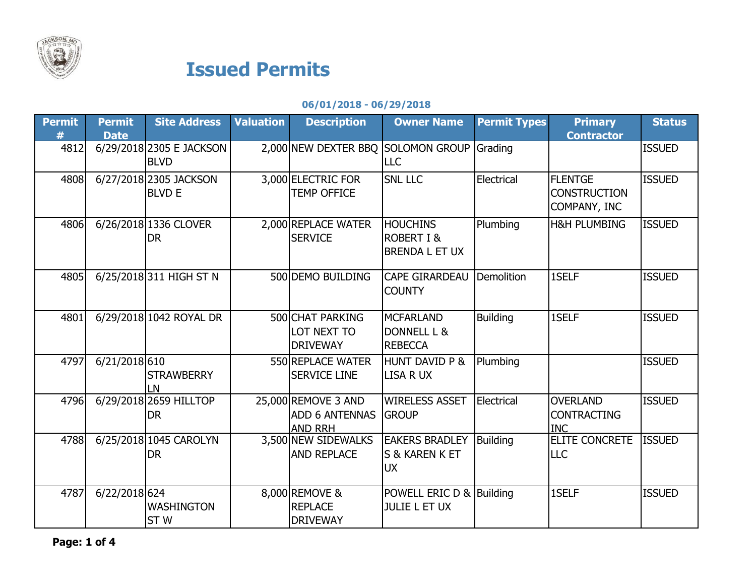

## Issued Permits

## 06/01/2018 - 06/29/2018

| <b>Permit</b> | <b>Permit</b><br><b>Date</b> | <b>Site Address</b>                     | <b>Valuation</b> | <b>Description</b>                                      | <b>Owner Name</b>                                            | <b>Permit Types</b> | <b>Primary</b><br><b>Contractor</b>                   | <b>Status</b> |
|---------------|------------------------------|-----------------------------------------|------------------|---------------------------------------------------------|--------------------------------------------------------------|---------------------|-------------------------------------------------------|---------------|
| 4812          |                              | 6/29/2018 2305 E JACKSON<br><b>BLVD</b> |                  | 2,000 NEW DEXTER BBQ                                    | <b>SOLOMON GROUP</b><br><b>LLC</b>                           | Grading             |                                                       | <b>ISSUED</b> |
| 4808          |                              | 6/27/2018 2305 JACKSON<br><b>BLVD E</b> |                  | 3,000 ELECTRIC FOR<br><b>TEMP OFFICE</b>                | <b>SNL LLC</b>                                               | Electrical          | <b>FLENTGE</b><br><b>CONSTRUCTION</b><br>COMPANY, INC | <b>ISSUED</b> |
| 4806          |                              | 6/26/2018 1336 CLOVER<br><b>DR</b>      |                  | 2,000 REPLACE WATER<br><b>SERVICE</b>                   | <b>HOUCHINS</b><br><b>ROBERT I &amp;</b><br>BRENDA L ET UX   | Plumbing            | <b>H&amp;H PLUMBING</b>                               | <b>ISSUED</b> |
| 4805          |                              | 6/25/2018 311 HIGH ST N                 |                  | 500 DEMO BUILDING                                       | <b>CAPE GIRARDEAU</b><br><b>COUNTY</b>                       | Demolition          | 1SELF                                                 | <b>ISSUED</b> |
| 4801          |                              | 6/29/2018 1042 ROYAL DR                 |                  | 500 CHAT PARKING<br>LOT NEXT TO<br><b>DRIVEWAY</b>      | <b>MCFARLAND</b><br><b>DONNELL L &amp;</b><br><b>REBECCA</b> | <b>Building</b>     | 1SELF                                                 | <b>ISSUED</b> |
| 4797          | 6/21/2018 610                | <b>STRAWBERRY</b><br>LN                 |                  | 550 REPLACE WATER<br><b>SERVICE LINE</b>                | <b>HUNT DAVID P &amp;</b><br><b>LISA R UX</b>                | Plumbing            |                                                       | <b>ISSUED</b> |
| 4796          |                              | 6/29/2018 2659 HILLTOP<br><b>DR</b>     |                  | 25,000 REMOVE 3 AND<br>ADD 6 ANTENNAS<br><b>AND RRH</b> | <b>WIRELESS ASSET</b><br><b>GROUP</b>                        | Electrical          | <b>OVERLAND</b><br><b>CONTRACTING</b><br><b>INC</b>   | <b>ISSUED</b> |
| 4788          |                              | 6/25/2018 1045 CAROLYN<br><b>DR</b>     |                  | 3,500 NEW SIDEWALKS<br><b>AND REPLACE</b>               | <b>EAKERS BRADLEY</b><br>S & KAREN K ET<br><b>UX</b>         | Building            | ELITE CONCRETE<br><b>LLC</b>                          | <b>ISSUED</b> |
| 4787          | 6/22/2018 624                | <b>WASHINGTON</b><br>ST <sub>W</sub>    |                  | 8,000 REMOVE &<br><b>REPLACE</b><br><b>DRIVEWAY</b>     | POWELL ERIC D & Building<br><b>JULIE L ET UX</b>             |                     | 1SELF                                                 | <b>ISSUED</b> |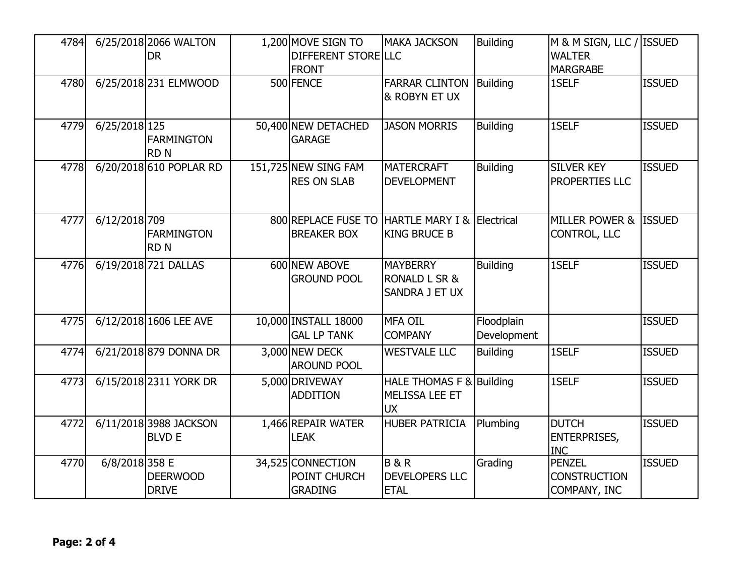| 4784 |                | 6/25/2018 2066 WALTON<br><b>DR</b>      | 1,200 MOVE SIGN TO<br>DIFFERENT STORE LLC<br><b>FRONT</b> | <b>MAKA JACKSON</b>                                           | <b>Building</b>           | M & M SIGN, LLC / ISSUED<br><b>WALTER</b><br><b>MARGRABE</b> |               |
|------|----------------|-----------------------------------------|-----------------------------------------------------------|---------------------------------------------------------------|---------------------------|--------------------------------------------------------------|---------------|
| 4780 |                | 6/25/2018 231 ELMWOOD                   | 500 FENCE                                                 | <b>FARRAR CLINTON</b><br>& ROBYN ET UX                        | Building                  | 1SELF                                                        | <b>ISSUED</b> |
| 4779 | 6/25/2018 125  | <b>FARMINGTON</b><br><b>RDN</b>         | 50,400 NEW DETACHED<br><b>GARAGE</b>                      | <b>JASON MORRIS</b>                                           | <b>Building</b>           | 1SELF                                                        | <b>ISSUED</b> |
| 4778 |                | 6/20/2018 610 POPLAR RD                 | 151,725 NEW SING FAM<br><b>RES ON SLAB</b>                | <b>MATERCRAFT</b><br><b>DEVELOPMENT</b>                       | <b>Building</b>           | <b>SILVER KEY</b><br>PROPERTIES LLC                          | <b>ISSUED</b> |
| 4777 | 6/12/2018 709  | <b>FARMINGTON</b><br><b>RDN</b>         | 800 REPLACE FUSE TO HARTLE MARY I &<br><b>BREAKER BOX</b> | <b>KING BRUCE B</b>                                           | Electrical                | <b>MILLER POWER &amp;</b><br><b>CONTROL, LLC</b>             | <b>ISSUED</b> |
| 4776 |                | 6/19/2018 721 DALLAS                    | 600 NEW ABOVE<br><b>GROUND POOL</b>                       | <b>MAYBERRY</b><br><b>RONALD L SR &amp;</b><br>SANDRA J ET UX | <b>Building</b>           | 1SELF                                                        | <b>ISSUED</b> |
| 4775 |                | 6/12/2018 1606 LEE AVE                  | 10,000 INSTALL 18000<br><b>GAL LP TANK</b>                | <b>MFA OIL</b><br><b>COMPANY</b>                              | Floodplain<br>Development |                                                              | <b>ISSUED</b> |
| 4774 |                | 6/21/2018 879 DONNA DR                  | 3,000 NEW DECK<br><b>AROUND POOL</b>                      | <b>WESTVALE LLC</b>                                           | <b>Building</b>           | 1SELF                                                        | <b>ISSUED</b> |
| 4773 |                | 6/15/2018 2311 YORK DR                  | 5,000 DRIVEWAY<br><b>ADDITION</b>                         | HALE THOMAS F & Building<br>MELISSA LEE ET<br><b>UX</b>       |                           | 1SELF                                                        | <b>ISSUED</b> |
| 4772 |                | 6/11/2018 3988 JACKSON<br><b>BLVD E</b> | 1,466 REPAIR WATER<br><b>LEAK</b>                         | <b>HUBER PATRICIA</b>                                         | Plumbing                  | <b>DUTCH</b><br><b>ENTERPRISES,</b><br><b>INC</b>            | <b>ISSUED</b> |
| 4770 | 6/8/2018 358 E | <b>DEERWOOD</b><br><b>DRIVE</b>         | 34,525 CONNECTION<br>POINT CHURCH<br><b>GRADING</b>       | <b>B&amp;R</b><br><b>DEVELOPERS LLC</b><br><b>ETAL</b>        | Grading                   | <b>PENZEL</b><br><b>CONSTRUCTION</b><br>COMPANY, INC         | <b>ISSUED</b> |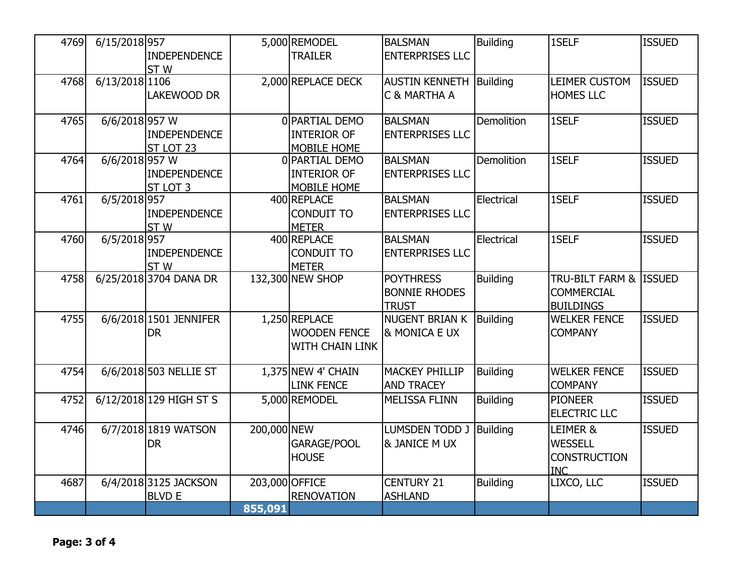| 4769 | 6/15/2018 957    | <b>INDEPENDENCE</b>     |                | 5,000 REMODEL<br><b>TRAILER</b> | <b>BALSMAN</b><br><b>ENTERPRISES LLC</b> | <b>Building</b> | 1SELF                  | <b>ISSUED</b> |
|------|------------------|-------------------------|----------------|---------------------------------|------------------------------------------|-----------------|------------------------|---------------|
|      |                  | ST <sub>W</sub>         |                |                                 |                                          |                 |                        |               |
| 4768 | 6/13/2018 1106   |                         |                | 2,000 REPLACE DECK              | <b>AUSTIN KENNETH</b>                    | Building        | LEIMER CUSTOM          | <b>ISSUED</b> |
|      |                  | LAKEWOOD DR             |                |                                 | C & MARTHA A                             |                 | <b>HOMES LLC</b>       |               |
| 4765 | $6/6/2018$ 957 W |                         |                | 0 PARTIAL DEMO                  | <b>BALSMAN</b>                           | Demolition      | 1SELF                  | <b>ISSUED</b> |
|      |                  | <b>INDEPENDENCE</b>     |                | <b>INTERIOR OF</b>              | <b>ENTERPRISES LLC</b>                   |                 |                        |               |
|      |                  | ST LOT 23               |                | MOBILE HOME                     |                                          |                 |                        |               |
| 4764 | 6/6/2018 957 W   |                         |                | 0 PARTIAL DEMO                  | <b>BALSMAN</b>                           | Demolition      | 1SELF                  | <b>ISSUED</b> |
|      |                  | <b>INDEPENDENCE</b>     |                | <b>INTERIOR OF</b>              | <b>ENTERPRISES LLC</b>                   |                 |                        |               |
|      |                  | ST LOT 3                |                | MOBILE HOME                     |                                          |                 |                        |               |
| 4761 | 6/5/2018 957     |                         |                | 400 REPLACE                     | <b>BALSMAN</b>                           | Electrical      | 1SELF                  | <b>ISSUED</b> |
|      |                  | <b>INDEPENDENCE</b>     |                | <b>CONDUIT TO</b>               | <b>ENTERPRISES LLC</b>                   |                 |                        |               |
|      |                  | ST <sub>W</sub>         |                | <b>METER</b>                    |                                          |                 |                        |               |
| 4760 | 6/5/2018 957     |                         |                | 400 REPLACE                     | <b>BALSMAN</b>                           | Electrical      | 1SELF                  | <b>ISSUED</b> |
|      |                  | <b>INDEPENDENCE</b>     |                | <b>CONDUIT TO</b>               | <b>ENTERPRISES LLC</b>                   |                 |                        |               |
|      |                  | ST <sub>W</sub>         |                | <b>METER</b>                    |                                          |                 |                        |               |
| 4758 |                  | 6/25/2018 3704 DANA DR  |                | 132,300 NEW SHOP                | <b>POYTHRESS</b>                         | <b>Building</b> | TRU-BILT FARM & ISSUED |               |
|      |                  |                         |                |                                 | <b>BONNIE RHODES</b>                     |                 | <b>COMMERCIAL</b>      |               |
|      |                  |                         |                |                                 | <b>TRUST</b>                             |                 | <b>BUILDINGS</b>       |               |
| 4755 |                  | 6/6/2018 1501 JENNIFER  |                | 1,250 REPLACE                   | <b>NUGENT BRIAN K</b>                    | <b>Building</b> | <b>WELKER FENCE</b>    | <b>ISSUED</b> |
|      |                  | <b>DR</b>               |                | <b>WOODEN FENCE</b>             | & MONICA E UX                            |                 | <b>COMPANY</b>         |               |
|      |                  |                         |                | <b>WITH CHAIN LINK</b>          |                                          |                 |                        |               |
|      |                  |                         |                |                                 |                                          |                 |                        |               |
| 4754 |                  | 6/6/2018 503 NELLIE ST  |                | $1,375$ NEW 4' CHAIN            | <b>MACKEY PHILLIP</b>                    | <b>Building</b> | <b>WELKER FENCE</b>    | <b>ISSUED</b> |
|      |                  |                         |                | <b>LINK FENCE</b>               | <b>AND TRACEY</b>                        |                 | <b>COMPANY</b>         |               |
| 4752 |                  | 6/12/2018 129 HIGH ST S |                | 5,000 REMODEL                   | <b>MELISSA FLINN</b>                     | <b>Building</b> | <b>PIONEER</b>         | <b>ISSUED</b> |
|      |                  |                         |                |                                 |                                          |                 | <b>ELECTRIC LLC</b>    |               |
| 4746 |                  | 6/7/2018 1819 WATSON    | 200,000 NEW    |                                 | LUMSDEN TODD J                           | <b>Building</b> | LEIMER &               | <b>ISSUED</b> |
|      |                  | <b>DR</b>               |                | GARAGE/POOL                     | & JANICE M UX                            |                 | <b>WESSELL</b>         |               |
|      |                  |                         |                | <b>HOUSE</b>                    |                                          |                 | <b>CONSTRUCTION</b>    |               |
|      |                  |                         |                |                                 |                                          |                 | <b>INC</b>             |               |
| 4687 |                  | 6/4/2018 3125 JACKSON   | 203,000 OFFICE |                                 | <b>CENTURY 21</b>                        | <b>Building</b> | LIXCO, LLC             | <b>ISSUED</b> |
|      |                  | <b>BLVD E</b>           |                | <b>RENOVATION</b>               | <b>ASHLAND</b>                           |                 |                        |               |
|      |                  |                         | 855,091        |                                 |                                          |                 |                        |               |